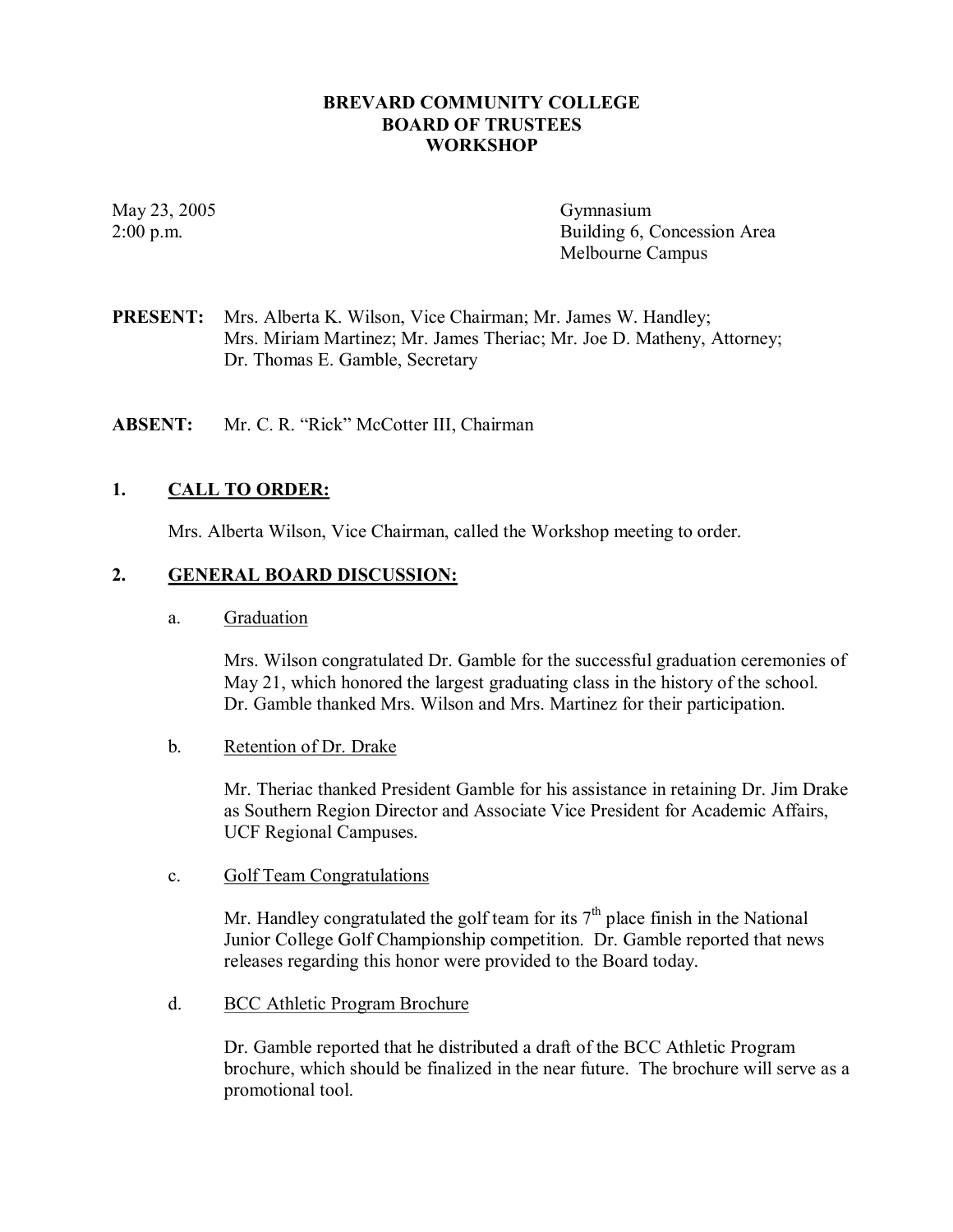### **BREVARD COMMUNITY COLLEGE BOARD OF TRUSTEES WORKSHOP**

May 23, 2005 Gymnasium

2:00 p.m. Building 6, Concession Area Melbourne Campus

**PRESENT:** Mrs. Alberta K. Wilson, Vice Chairman; Mr. James W. Handley; Mrs. Miriam Martinez; Mr. James Theriac; Mr. Joe D. Matheny, Attorney; Dr. Thomas E. Gamble, Secretary

**ABSENT:** Mr. C. R. "Rick" McCotter III, Chairman

### **1. CALL TO ORDER:**

Mrs. Alberta Wilson, Vice Chairman, called the Workshop meeting to order.

### **2. GENERAL BOARD DISCUSSION:**

a. Graduation

Mrs. Wilson congratulated Dr. Gamble for the successful graduation ceremonies of May 21, which honored the largest graduating class in the history of the school. Dr. Gamble thanked Mrs. Wilson and Mrs. Martinez for their participation.

b. Retention of Dr. Drake

Mr. Theriac thanked President Gamble for his assistance in retaining Dr. Jim Drake as Southern Region Director and Associate Vice President for Academic Affairs, UCF Regional Campuses.

c. Golf Team Congratulations

Mr. Handley congratulated the golf team for its  $7<sup>th</sup>$  place finish in the National Junior College Golf Championship competition. Dr. Gamble reported that news releases regarding this honor were provided to the Board today.

d. BCC Athletic Program Brochure

Dr. Gamble reported that he distributed a draft of the BCC Athletic Program brochure, which should be finalized in the near future. The brochure will serve as a promotional tool.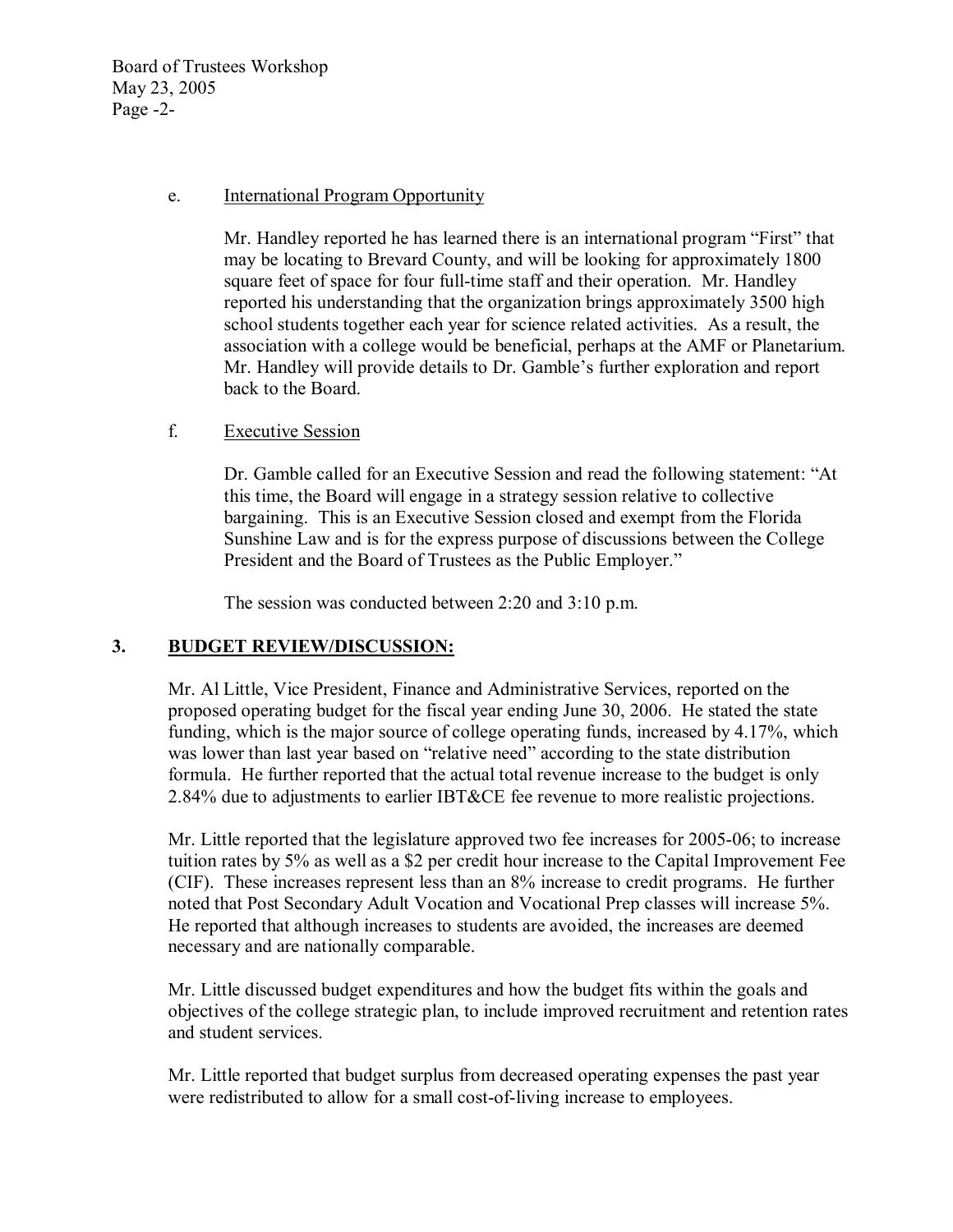Board of Trustees Workshop May 23, 2005 Page  $-2$ -

### e. International Program Opportunity

Mr. Handley reported he has learned there is an international program "First" that may be locating to Brevard County, and will be looking for approximately 1800 square feet of space for four full-time staff and their operation. Mr. Handley reported his understanding that the organization brings approximately 3500 high school students together each year for science related activities. As a result, the association with a college would be beneficial, perhaps at the AMF or Planetarium. Mr. Handley will provide details to Dr. Gamble's further exploration and report back to the Board.

## f. Executive Session

Dr. Gamble called for an Executive Session and read the following statement: "At this time, the Board will engage in a strategy session relative to collective bargaining. This is an Executive Session closed and exempt from the Florida Sunshine Law and is for the express purpose of discussions between the College President and the Board of Trustees as the Public Employer."

The session was conducted between 2:20 and 3:10 p.m.

## **3. BUDGET REVIEW/DISCUSSION:**

Mr. Al Little, Vice President, Finance and Administrative Services, reported on the proposed operating budget for the fiscal year ending June 30, 2006. He stated the state funding, which is the major source of college operating funds, increased by 4.17%, which was lower than last year based on "relative need" according to the state distribution formula. He further reported that the actual total revenue increase to the budget is only 2.84% due to adjustments to earlier IBT&CE fee revenue to more realistic projections.

Mr. Little reported that the legislature approved two fee increases for 2005-06; to increase tuition rates by 5% as well as a \$2 per credit hour increase to the Capital Improvement Fee (CIF). These increases represent less than an 8% increase to credit programs. He further noted that Post Secondary Adult Vocation and Vocational Prep classes will increase 5%. He reported that although increases to students are avoided, the increases are deemed necessary and are nationally comparable.

Mr. Little discussed budget expenditures and how the budget fits within the goals and objectives of the college strategic plan, to include improved recruitment and retention rates and student services.

Mr. Little reported that budget surplus from decreased operating expenses the past year were redistributed to allow for a small cost-of-living increase to employees.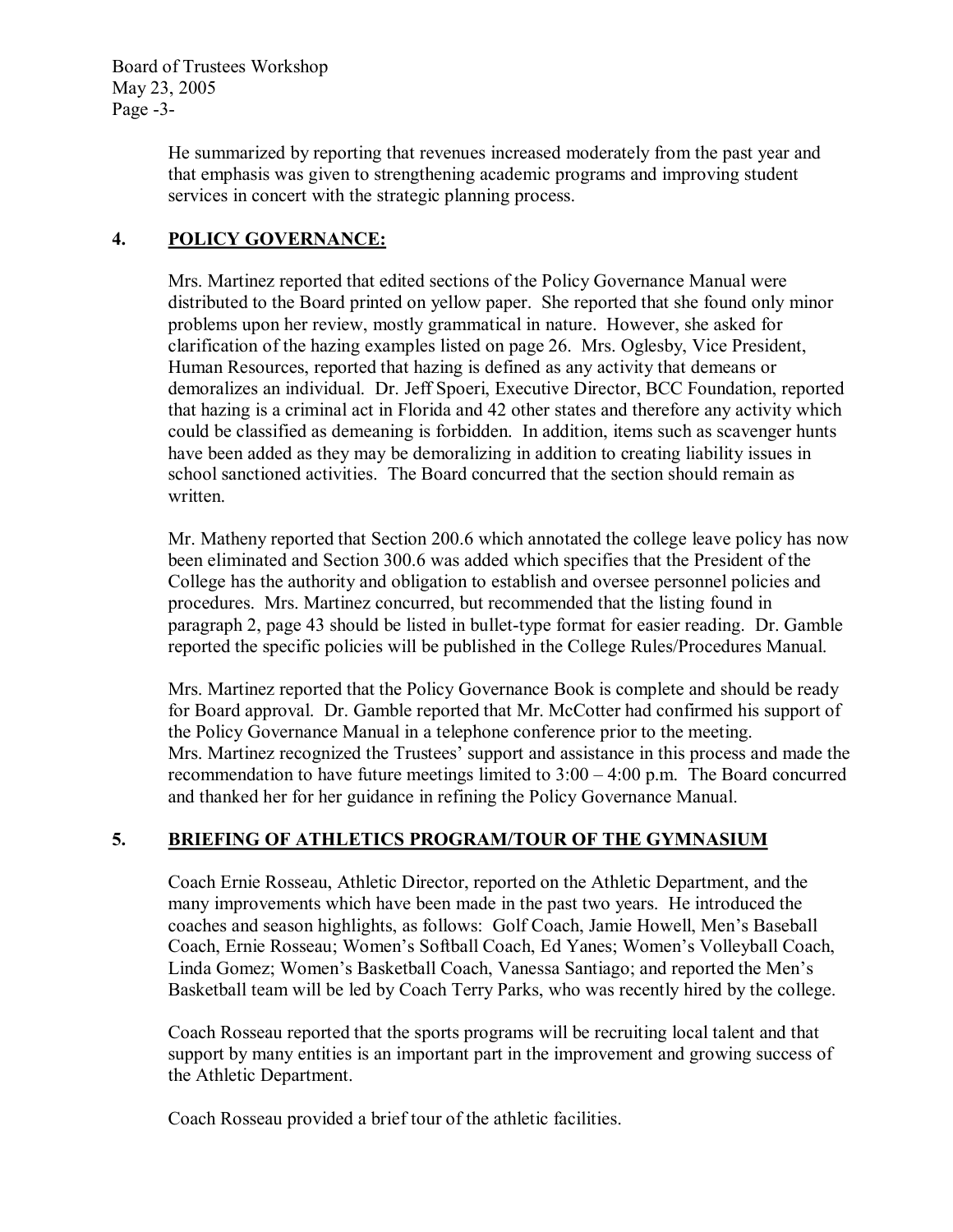Board of Trustees Workshop May 23, 2005 Page  $-3$ -

> He summarized by reporting that revenues increased moderately from the past year and that emphasis was given to strengthening academic programs and improving student services in concert with the strategic planning process.

## **4. POLICY GOVERNANCE:**

Mrs. Martinez reported that edited sections of the Policy Governance Manual were distributed to the Board printed on yellow paper. She reported that she found only minor problems upon her review, mostly grammatical in nature. However, she asked for clarification of the hazing examples listed on page 26. Mrs. Oglesby, Vice President, Human Resources, reported that hazing is defined as any activity that demeans or demoralizes an individual. Dr. Jeff Spoeri, Executive Director, BCC Foundation, reported that hazing is a criminal act in Florida and 42 other states and therefore any activity which could be classified as demeaning is forbidden. In addition, items such as scavenger hunts have been added as they may be demoralizing in addition to creating liability issues in school sanctioned activities. The Board concurred that the section should remain as written.

Mr. Matheny reported that Section 200.6 which annotated the college leave policy has now been eliminated and Section 300.6 was added which specifies that the President of the College has the authority and obligation to establish and oversee personnel policies and procedures. Mrs. Martinez concurred, but recommended that the listing found in paragraph 2, page 43 should be listed in bullet-type format for easier reading. Dr. Gamble reported the specific policies will be published in the College Rules/Procedures Manual.

Mrs. Martinez reported that the Policy Governance Book is complete and should be ready for Board approval. Dr. Gamble reported that Mr. McCotter had confirmed his support of the Policy Governance Manual in a telephone conference prior to the meeting. Mrs. Martinez recognized the Trustees' support and assistance in this process and made the recommendation to have future meetings limited to  $3:00 - 4:00$  p.m. The Board concurred and thanked her for her guidance in refining the Policy Governance Manual.

## **5. BRIEFING OF ATHLETICS PROGRAM/TOUR OF THE GYMNASIUM**

Coach Ernie Rosseau, Athletic Director, reported on the Athletic Department, and the many improvements which have been made in the past two years. He introduced the coaches and season highlights, as follows: Golf Coach, Jamie Howell, Men's Baseball Coach, Ernie Rosseau; Women's Softball Coach, Ed Yanes; Women's Volleyball Coach, Linda Gomez; Women's Basketball Coach, Vanessa Santiago; and reported the Men's Basketball team will be led by Coach Terry Parks, who was recently hired by the college.

Coach Rosseau reported that the sports programs will be recruiting local talent and that support by many entities is an important part in the improvement and growing success of the Athletic Department.

Coach Rosseau provided a brief tour of the athletic facilities.